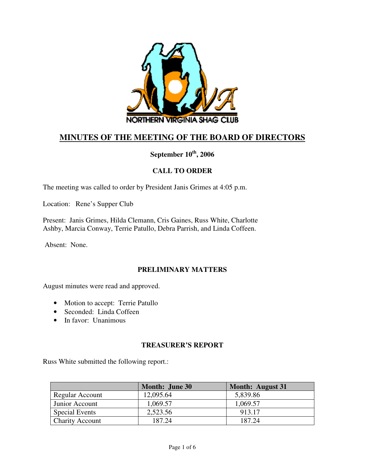

# **MINUTES OF THE MEETING OF THE BOARD OF DIRECTORS**

**September 10th, 2006** 

## **CALL TO ORDER**

The meeting was called to order by President Janis Grimes at 4:05 p.m.

Location: Rene's Supper Club

Present: Janis Grimes, Hilda Clemann, Cris Gaines, Russ White, Charlotte Ashby, Marcia Conway, Terrie Patullo, Debra Parrish, and Linda Coffeen.

Absent: None.

### **PRELIMINARY MATTERS**

August minutes were read and approved.

- Motion to accept: Terrie Patullo
- Seconded: Linda Coffeen
- In favor: Unanimous

### **TREASURER'S REPORT**

Russ White submitted the following report.:

|                        | <b>Month: June 30</b> | <b>Month: August 31</b> |
|------------------------|-----------------------|-------------------------|
| Regular Account        | 12,095.64             | 5,839.86                |
| Junior Account         | 1,069.57              | 1,069.57                |
| <b>Special Events</b>  | 2,523.56              | 913.17                  |
| <b>Charity Account</b> | 187.24                | 187.24                  |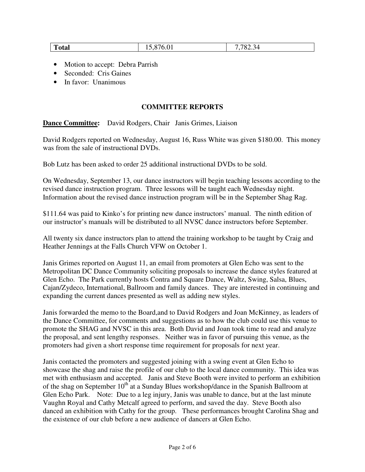| <b>Total</b><br>. .<br>v.v i<br>__ | $\sim$<br>$70^{\circ}$<br>$\overline{\phantom{a}}$<br>≛∠<br>$\sim$ |
|------------------------------------|--------------------------------------------------------------------|
|------------------------------------|--------------------------------------------------------------------|

- Motion to accept: Debra Parrish
- Seconded: Cris Gaines
- In favor: Unanimous

#### **COMMITTEE REPORTS**

#### **Dance Committee:** David Rodgers, Chair Janis Grimes, Liaison

David Rodgers reported on Wednesday, August 16, Russ White was given \$180.00. This money was from the sale of instructional DVDs.

Bob Lutz has been asked to order 25 additional instructional DVDs to be sold.

On Wednesday, September 13, our dance instructors will begin teaching lessons according to the revised dance instruction program. Three lessons will be taught each Wednesday night. Information about the revised dance instruction program will be in the September Shag Rag.

\$111.64 was paid to Kinko's for printing new dance instructors' manual. The ninth edition of our instructor's manuals will be distributed to all NVSC dance instructors before September.

All twenty six dance instructors plan to attend the training workshop to be taught by Craig and Heather Jennings at the Falls Church VFW on October 1.

Janis Grimes reported on August 11, an email from promoters at Glen Echo was sent to the Metropolitan DC Dance Community soliciting proposals to increase the dance styles featured at Glen Echo. The Park currently hosts Contra and Square Dance, Waltz, Swing, Salsa, Blues, Cajan/Zydeco, International, Ballroom and family dances. They are interested in continuing and expanding the current dances presented as well as adding new styles.

Janis forwarded the memo to the Board,and to David Rodgers and Joan McKinney, as leaders of the Dance Committee, for comments and suggestions as to how the club could use this venue to promote the SHAG and NVSC in this area. Both David and Joan took time to read and analyze the proposal, and sent lengthy responses. Neither was in favor of pursuing this venue, as the promoters had given a short response time requirement for proposals for next year.

Janis contacted the promoters and suggested joining with a swing event at Glen Echo to showcase the shag and raise the profile of our club to the local dance community. This idea was met with enthusiasm and accepted. Janis and Steve Booth were invited to perform an exhibition of the shag on September  $10^{th}$  at a Sunday Blues workshop/dance in the Spanish Ballroom at Glen Echo Park. Note: Due to a leg injury, Janis was unable to dance, but at the last minute Vaughn Royal and Cathy Metcalf agreed to perform, and saved the day. Steve Booth also danced an exhibition with Cathy for the group. These performances brought Carolina Shag and the existence of our club before a new audience of dancers at Glen Echo.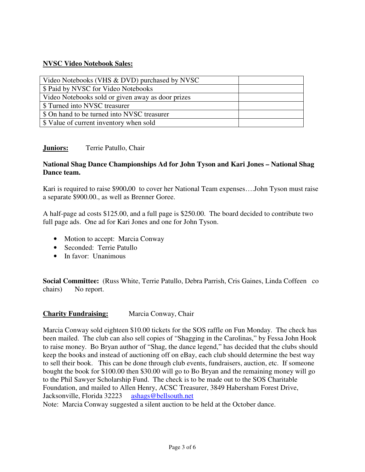### **NVSC Video Notebook Sales:**

| Video Notebooks (VHS & DVD) purchased by NVSC     |  |
|---------------------------------------------------|--|
| \$ Paid by NVSC for Video Notebooks               |  |
| Video Notebooks sold or given away as door prizes |  |
| \$ Turned into NVSC treasurer                     |  |
| \$ On hand to be turned into NVSC treasurer       |  |
| \$ Value of current inventory when sold           |  |

### **Juniors:** Terrie Patullo, Chair

#### **National Shag Dance Championships Ad for John Tyson and Kari Jones – National Shag Dance team.**

Kari is required to raise \$900**.**00to cover her National Team expenses….John Tyson must raise a separate \$900.00., as well as Brenner Goree.

A half-page ad costs \$125.00, and a full page is \$250.00. The board decided to contribute two full page ads. One ad for Kari Jones and one for John Tyson.

- Motion to accept: Marcia Conway
- Seconded: Terrie Patullo
- In favor: Unanimous

**Social Committee:** (Russ White, Terrie Patullo, Debra Parrish, Cris Gaines, Linda Coffeen co chairs) No report.

### **Charity Fundraising:** Marcia Conway, Chair

Marcia Conway sold eighteen \$10.00 tickets for the SOS raffle on Fun Monday. The check has been mailed. The club can also sell copies of "Shagging in the Carolinas," by Fessa John Hook to raise money. Bo Bryan author of "Shag, the dance legend," has decided that the clubs should keep the books and instead of auctioning off on eBay, each club should determine the best way to sell their book. This can be done through club events, fundraisers, auction, etc. If someone bought the book for \$100.00 then \$30.00 will go to Bo Bryan and the remaining money will go to the Phil Sawyer Scholarship Fund. The check is to be made out to the SOS Charitable Foundation, and mailed to Allen Henry, ACSC Treasurer, 3849 Habersham Forest Drive, Jacksonville, Florida 32223 ashags@bellsouth.net

Note: Marcia Conway suggested a silent auction to be held at the October dance.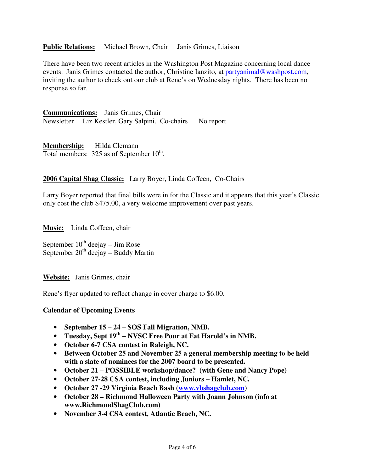#### **Public Relations:** Michael Brown, Chair Janis Grimes, Liaison

There have been two recent articles in the Washington Post Magazine concerning local dance events. Janis Grimes contacted the author, Christine Ianzito, at partyanimal@washpost.com, inviting the author to check out our club at Rene's on Wednesday nights. There has been no response so far.

**Communications:** Janis Grimes, Chair Newsletter Liz Kestler, Gary Salpini, Co-chairs No report.

**Membership:** Hilda Clemann Total members:  $325$  as of September  $10^{th}$ .

#### **2006 Capital Shag Classic:** Larry Boyer, Linda Coffeen, Co-Chairs

Larry Boyer reported that final bills were in for the Classic and it appears that this year's Classic only cost the club \$475.00, a very welcome improvement over past years.

**Music:** Linda Coffeen, chair

September  $10^{th}$  deejay – Jim Rose September  $20^{th}$  deejay – Buddy Martin

**Website:** Janis Grimes, chair

Rene's flyer updated to reflect change in cover charge to \$6.00.

#### **Calendar of Upcoming Events**

- **September 15 24 SOS Fall Migration, NMB.**
- **Tuesday, Sept 19th NVSC Free Pour at Fat Harold's in NMB.**
- **October 6-7 CSA contest in Raleigh, NC.**
- **Between October 25 and November 25 a general membership meeting to be held with a slate of nominees for the 2007 board to be presented.**
- **October 21 POSSIBLE workshop/dance? (with Gene and Nancy Pope)**
- **October 27-28 CSA contest, including Juniors Hamlet, NC.**
- **October 27 -29 Virginia Beach Bash (www.vbshagclub.com)**
- **October 28 Richmond Halloween Party with Joann Johnson (info at www.RichmondShagClub.com)**
- **November 3-4 CSA contest, Atlantic Beach, NC.**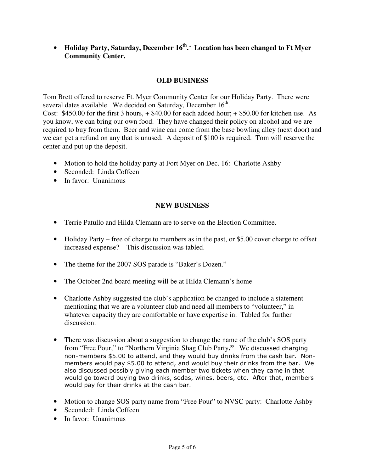• **Holiday Party, Saturday, December 16th . .. Location has been changed to Ft Myer Community Center.**

## **OLD BUSINESS**

Tom Brett offered to reserve Ft. Myer Community Center for our Holiday Party. There were several dates available. We decided on Saturday, December  $16<sup>th</sup>$ .

Cost: \$450.00 for the first 3 hours, + \$40.00 for each added hour; + \$50.00 for kitchen use. As you know, we can bring our own food. They have changed their policy on alcohol and we are required to buy from them. Beer and wine can come from the base bowling alley (next door) and we can get a refund on any that is unused. A deposit of \$100 is required. Tom will reserve the center and put up the deposit.

- Motion to hold the holiday party at Fort Myer on Dec. 16: Charlotte Ashby
- Seconded: Linda Coffeen
- In favor: Unanimous

### **NEW BUSINESS**

- Terrie Patullo and Hilda Clemann are to serve on the Election Committee.
- Holiday Party free of charge to members as in the past, or \$5.00 cover charge to offset increased expense? This discussion was tabled.
- The theme for the 2007 SOS parade is "Baker's Dozen."
- The October 2nd board meeting will be at Hilda Clemann's home
- Charlotte Ashby suggested the club's application be changed to include a statement mentioning that we are a volunteer club and need all members to "volunteer," in whatever capacity they are comfortable or have expertise in. Tabled for further discussion.
- There was discussion about a suggestion to change the name of the club's SOS party from "Free Pour," to "Northern Virginia Shag Club Party**."** We discussed charging non-members \$5.00 to attend, and they would buy drinks from the cash bar. Nonmembers would pay \$5.00 to attend, and would buy their drinks from the bar. We also discussed possibly giving each member two tickets when they came in that would go toward buying two drinks, sodas, wines, beers, etc. After that, members would pay for their drinks at the cash bar.
- Motion to change SOS party name from "Free Pour" to NVSC party: Charlotte Ashby
- Seconded: Linda Coffeen
- In favor: Unanimous